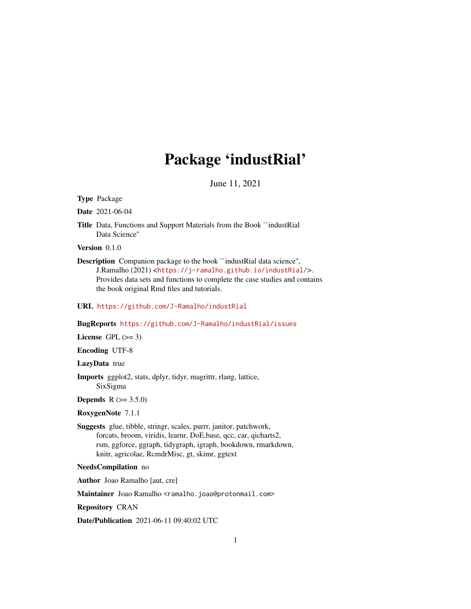# Package 'industRial'

June 11, 2021

<span id="page-0-0"></span>Type Package

Date 2021-06-04

Title Data, Functions and Support Materials from the Book ``industRial Data Science''

Version 0.1.0

Description Companion package to the book "industRial data science", J.Ramalho (2021) <<https://j-ramalho.github.io/industRial/>>. Provides data sets and functions to complete the case studies and contains the book original Rmd files and tutorials.

### URL <https://github.com/J-Ramalho/industRial>

BugReports <https://github.com/J-Ramalho/industRial/issues>

License GPL  $(>= 3)$ 

Encoding UTF-8

LazyData true

Imports ggplot2, stats, dplyr, tidyr, magrittr, rlang, lattice, SixSigma

**Depends**  $R (= 3.5.0)$ 

RoxygenNote 7.1.1

Suggests glue, tibble, stringr, scales, purrr, janitor, patchwork, forcats, broom, viridis, learnr, DoE.base, qcc, car, qicharts2, rsm, ggforce, ggraph, tidygraph, igraph, bookdown, rmarkdown, knitr, agricolae, RcmdrMisc, gt, skimr, ggtext

#### NeedsCompilation no

Author Joao Ramalho [aut, cre]

Maintainer Joao Ramalho <ramalho.joao@protonmail.com>

Repository CRAN

Date/Publication 2021-06-11 09:40:02 UTC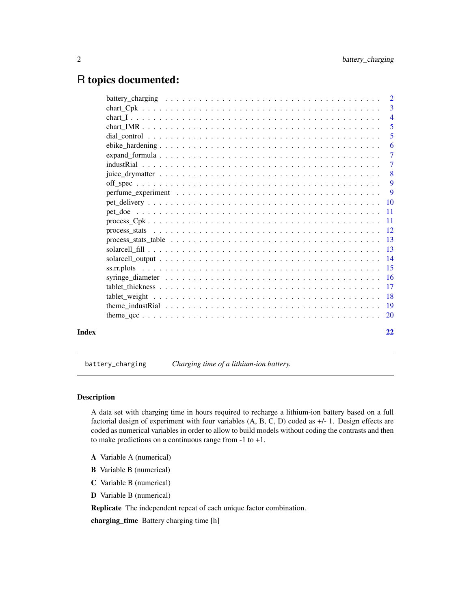# <span id="page-1-0"></span>R topics documented:

|       |                                                                                                                           | 5              |
|-------|---------------------------------------------------------------------------------------------------------------------------|----------------|
|       |                                                                                                                           | 5              |
|       |                                                                                                                           | -6             |
|       | $expand_{\text{formula}} \dots \dots \dots \dots \dots \dots \dots \dots \dots \dots \dots \dots \dots \dots \dots \dots$ | $\overline{7}$ |
|       |                                                                                                                           |                |
|       |                                                                                                                           | $\sim 8$       |
|       |                                                                                                                           |                |
|       |                                                                                                                           | $\overline{9}$ |
|       |                                                                                                                           |                |
|       |                                                                                                                           |                |
|       |                                                                                                                           |                |
|       |                                                                                                                           |                |
|       |                                                                                                                           |                |
|       |                                                                                                                           |                |
|       |                                                                                                                           |                |
|       |                                                                                                                           |                |
|       |                                                                                                                           |                |
|       |                                                                                                                           |                |
|       |                                                                                                                           |                |
|       |                                                                                                                           |                |
|       |                                                                                                                           |                |
| Index |                                                                                                                           | 22             |

battery\_charging *Charging time of a lithium-ion battery.*

# Description

A data set with charging time in hours required to recharge a lithium-ion battery based on a full factorial design of experiment with four variables (A, B, C, D) coded as +/- 1. Design effects are coded as numerical variables in order to allow to build models without coding the contrasts and then to make predictions on a continuous range from -1 to +1.

- A Variable A (numerical)
- B Variable B (numerical)
- C Variable B (numerical)
- D Variable B (numerical)

Replicate The independent repeat of each unique factor combination.

charging\_time Battery charging time [h]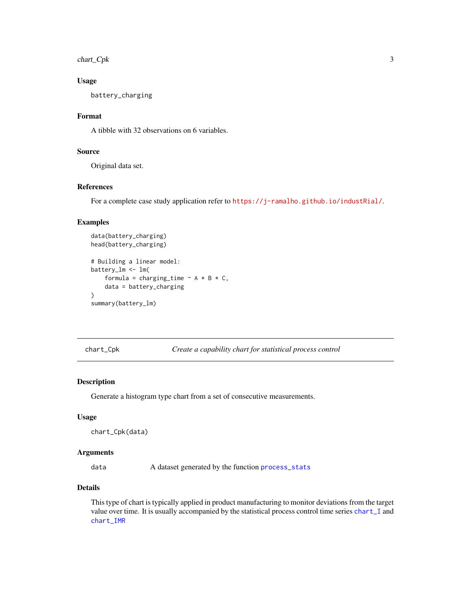<span id="page-2-0"></span>chart\_Cpk 3

#### Usage

battery\_charging

# Format

A tibble with 32 observations on 6 variables.

# Source

Original data set.

# References

For a complete case study application refer to <https://j-ramalho.github.io/industRial/>.

#### Examples

```
data(battery_charging)
head(battery_charging)
# Building a linear model:
battery_lm <- lm(
    formula = charging_time \sim A \star B \star C,
    data = battery_charging
\lambdasummary(battery_lm)
```
chart\_Cpk *Create a capability chart for statistical process control*

#### Description

Generate a histogram type chart from a set of consecutive measurements.

#### Usage

```
chart_Cpk(data)
```
# Arguments

data A dataset generated by the function [process\\_stats](#page-11-1)

# Details

This type of chart is typically applied in product manufacturing to monitor deviations from the target value over time. It is usually accompanied by the statistical process control time series [chart\\_I](#page-3-1) and [chart\\_IMR](#page-4-1)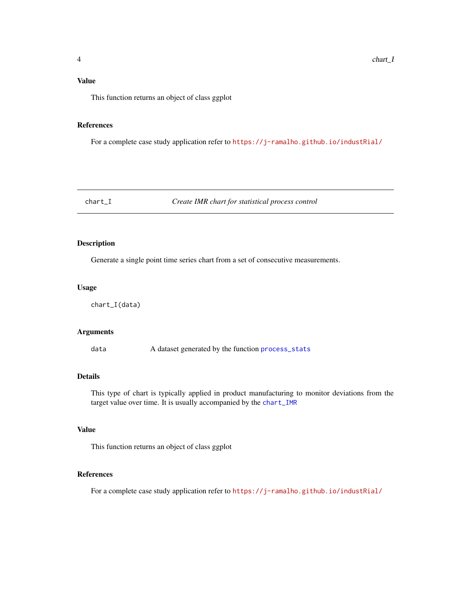# <span id="page-3-0"></span>References

For a complete case study application refer to <https://j-ramalho.github.io/industRial/>

<span id="page-3-1"></span>chart\_I *Create IMR chart for statistical process control*

#### Description

Generate a single point time series chart from a set of consecutive measurements.

#### Usage

chart\_I(data)

# Arguments

data A dataset generated by the function [process\\_stats](#page-11-1)

# Details

This type of chart is typically applied in product manufacturing to monitor deviations from the target value over time. It is usually accompanied by the [chart\\_IMR](#page-4-1)

#### Value

This function returns an object of class ggplot

# References

For a complete case study application refer to <https://j-ramalho.github.io/industRial/>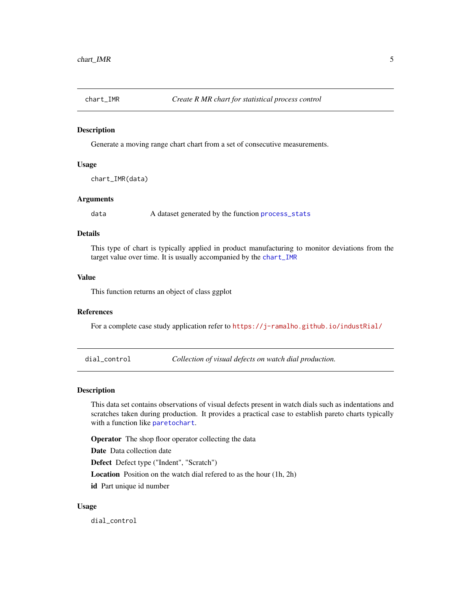<span id="page-4-1"></span><span id="page-4-0"></span>

Generate a moving range chart chart from a set of consecutive measurements.

#### Usage

```
chart_IMR(data)
```
# Arguments

data A dataset generated by the function [process\\_stats](#page-11-1)

# Details

This type of chart is typically applied in product manufacturing to monitor deviations from the target value over time. It is usually accompanied by the [chart\\_IMR](#page-4-1)

# Value

This function returns an object of class ggplot

#### References

For a complete case study application refer to <https://j-ramalho.github.io/industRial/>

dial\_control *Collection of visual defects on watch dial production.*

#### Description

This data set contains observations of visual defects present in watch dials such as indentations and scratches taken during production. It provides a practical case to establish pareto charts typically with a function like [paretochart](#page-0-0).

Operator The shop floor operator collecting the data

Date Data collection date

Defect Defect type ("Indent", "Scratch")

Location Position on the watch dial refered to as the hour (1h, 2h) id Part unique id number

#### Usage

dial\_control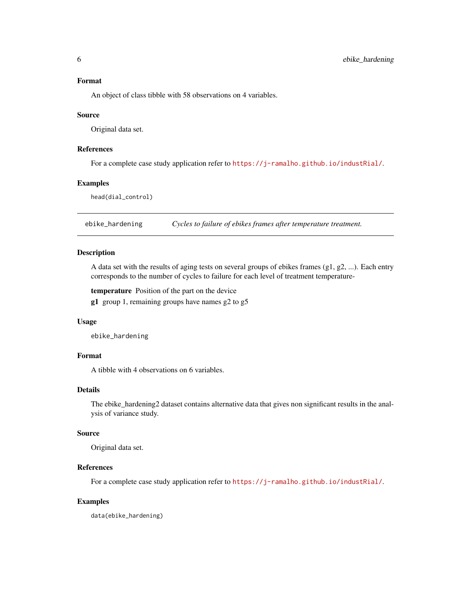#### <span id="page-5-0"></span>Format

An object of class tibble with 58 observations on 4 variables.

#### Source

Original data set.

# References

For a complete case study application refer to <https://j-ramalho.github.io/industRial/>.

# Examples

head(dial\_control)

ebike\_hardening *Cycles to failure of ebikes frames after temperature treatment.*

#### Description

A data set with the results of aging tests on several groups of ebikes frames  $(g1, g2, ...)$ . Each entry corresponds to the number of cycles to failure for each level of treatment temperature-

temperature Position of the part on the device

g1 group 1, remaining groups have names g2 to g5

#### Usage

ebike\_hardening

# Format

A tibble with 4 observations on 6 variables.

# Details

The ebike\_hardening2 dataset contains alternative data that gives non significant results in the analysis of variance study.

#### Source

Original data set.

#### References

For a complete case study application refer to <https://j-ramalho.github.io/industRial/>.

#### Examples

data(ebike\_hardening)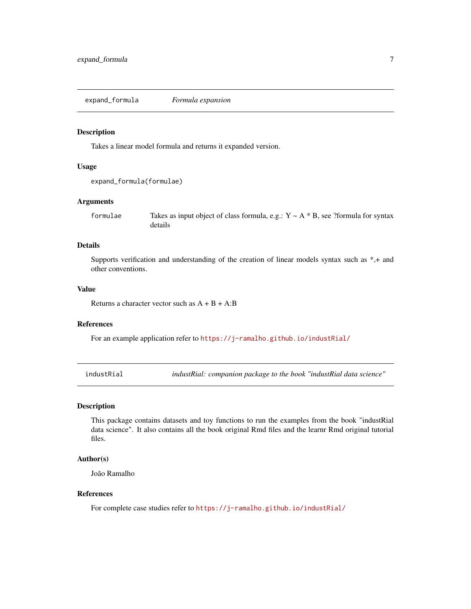<span id="page-6-0"></span>expand\_formula *Formula expansion*

#### Description

Takes a linear model formula and returns it expanded version.

#### Usage

```
expand_formula(formulae)
```
#### Arguments

formulae Takes as input object of class formula, e.g.:  $Y \sim A * B$ , see ?formula for syntax details

# Details

Supports verification and understanding of the creation of linear models syntax such as \*,+ and other conventions.

# Value

Returns a character vector such as  $A + B + A:B$ 

#### References

For an example application refer to <https://j-ramalho.github.io/industRial/>

industRial *industRial: companion package to the book "industRial data science"*

# Description

This package contains datasets and toy functions to run the examples from the book "industRial data science". It also contains all the book original Rmd files and the learnr Rmd original tutorial files.

#### Author(s)

João Ramalho

# References

For complete case studies refer to <https://j-ramalho.github.io/industRial/>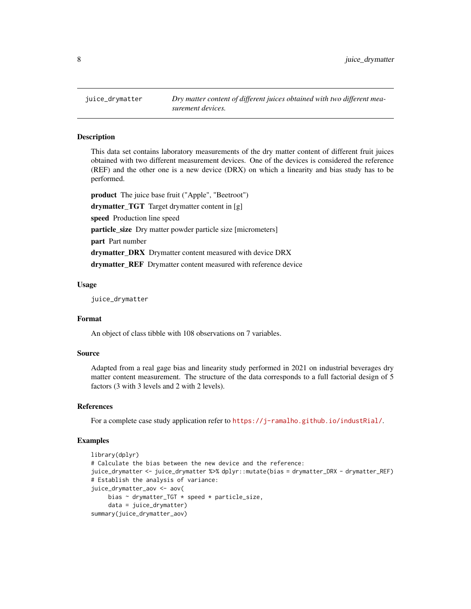<span id="page-7-0"></span>

This data set contains laboratory measurements of the dry matter content of different fruit juices obtained with two different measurement devices. One of the devices is considered the reference (REF) and the other one is a new device (DRX) on which a linearity and bias study has to be performed.

product The juice base fruit ("Apple", "Beetroot") drymatter\_TGT Target drymatter content in [g] speed Production line speed particle\_size Dry matter powder particle size [micrometers] part Part number drymatter\_DRX Drymatter content measured with device DRX drymatter\_REF Drymatter content measured with reference device

#### Usage

juice\_drymatter

#### Format

An object of class tibble with 108 observations on 7 variables.

#### Source

Adapted from a real gage bias and linearity study performed in 2021 on industrial beverages dry matter content measurement. The structure of the data corresponds to a full factorial design of 5 factors (3 with 3 levels and 2 with 2 levels).

# References

For a complete case study application refer to <https://j-ramalho.github.io/industRial/>.

#### Examples

```
library(dplyr)
# Calculate the bias between the new device and the reference:
juice_drymatter <- juice_drymatter %>% dplyr::mutate(bias = drymatter_DRX - drymatter_REF)
# Establish the analysis of variance:
juice_drymatter_aov <- aov(
    bias \sim drymatter_TGT * speed * particle_size,
     data = juice_drymatter)
summary(juice_drymatter_aov)
```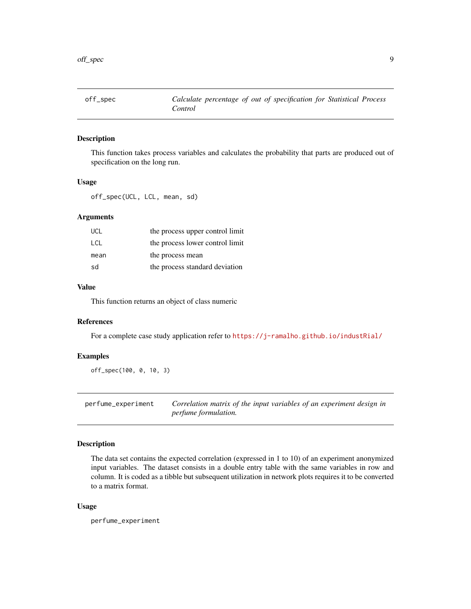<span id="page-8-0"></span>

This function takes process variables and calculates the probability that parts are produced out of specification on the long run.

#### Usage

off\_spec(UCL, LCL, mean, sd)

#### Arguments

| <b>UCL</b> | the process upper control limit |
|------------|---------------------------------|
| <b>LCL</b> | the process lower control limit |
| mean       | the process mean                |
| sd         | the process standard deviation  |

### Value

This function returns an object of class numeric

# References

For a complete case study application refer to <https://j-ramalho.github.io/industRial/>

# Examples

off\_spec(100, 0, 10, 3)

perfume\_experiment *Correlation matrix of the input variables of an experiment design in perfume formulation.*

# Description

The data set contains the expected correlation (expressed in 1 to 10) of an experiment anonymized input variables. The dataset consists in a double entry table with the same variables in row and column. It is coded as a tibble but subsequent utilization in network plots requires it to be converted to a matrix format.

#### Usage

perfume\_experiment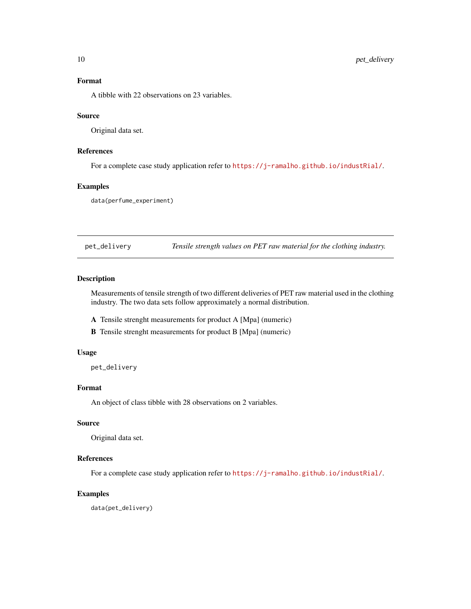# <span id="page-9-0"></span>Format

A tibble with 22 observations on 23 variables.

#### Source

Original data set.

# References

For a complete case study application refer to <https://j-ramalho.github.io/industRial/>.

# Examples

data(perfume\_experiment)

pet\_delivery *Tensile strength values on PET raw material for the clothing industry.*

# Description

Measurements of tensile strength of two different deliveries of PET raw material used in the clothing industry. The two data sets follow approximately a normal distribution.

A Tensile strenght measurements for product A [Mpa] (numeric)

B Tensile strenght measurements for product B [Mpa] (numeric)

#### Usage

pet\_delivery

#### Format

An object of class tibble with 28 observations on 2 variables.

# Source

Original data set.

#### References

For a complete case study application refer to <https://j-ramalho.github.io/industRial/>.

#### Examples

data(pet\_delivery)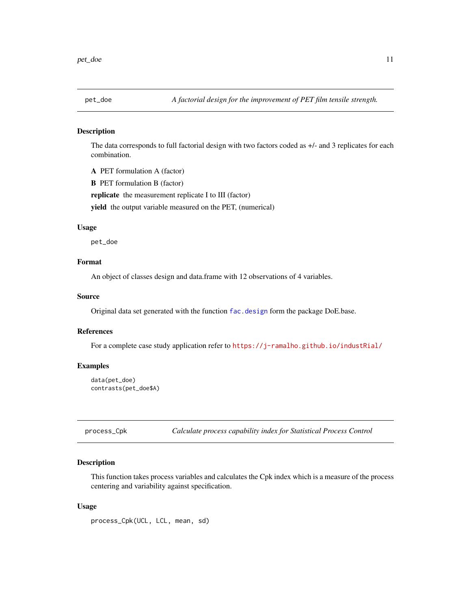<span id="page-10-0"></span>

The data corresponds to full factorial design with two factors coded as +/- and 3 replicates for each combination.

A PET formulation A (factor)

B PET formulation B (factor)

replicate the measurement replicate I to III (factor)

yield the output variable measured on the PET, (numerical)

# Usage

pet\_doe

# Format

An object of classes design and data.frame with 12 observations of 4 variables.

# Source

Original data set generated with the function [fac.design](#page-0-0) form the package DoE.base.

#### References

For a complete case study application refer to <https://j-ramalho.github.io/industRial/>

#### Examples

```
data(pet_doe)
contrasts(pet_doe$A)
```
process\_Cpk *Calculate process capability index for Statistical Process Control*

#### Description

This function takes process variables and calculates the Cpk index which is a measure of the process centering and variability against specification.

#### Usage

process\_Cpk(UCL, LCL, mean, sd)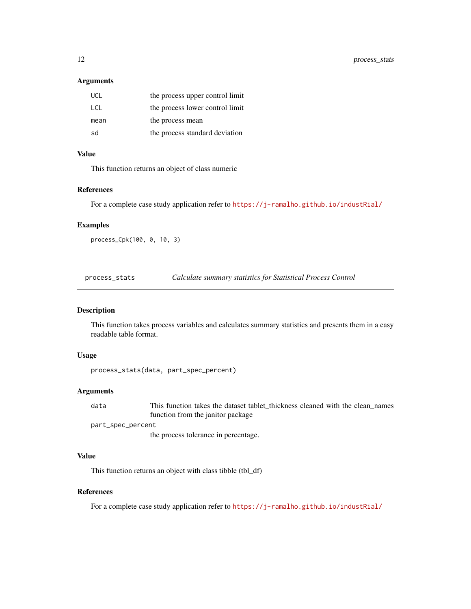#### <span id="page-11-0"></span>Arguments

| <b>UCL</b> | the process upper control limit |
|------------|---------------------------------|
| LCL.       | the process lower control limit |
| mean       | the process mean                |
| sd         | the process standard deviation  |

# Value

This function returns an object of class numeric

#### References

For a complete case study application refer to <https://j-ramalho.github.io/industRial/>

#### Examples

```
process_Cpk(100, 0, 10, 3)
```
<span id="page-11-1"></span>process\_stats *Calculate summary statistics for Statistical Process Control*

#### Description

This function takes process variables and calculates summary statistics and presents them in a easy readable table format.

# Usage

```
process_stats(data, part_spec_percent)
```
# Arguments

data This function takes the dataset tablet\_thickness cleaned with the clean\_names function from the janitor package part\_spec\_percent

the process tolerance in percentage.

#### Value

This function returns an object with class tibble (tbl\_df)

# References

For a complete case study application refer to <https://j-ramalho.github.io/industRial/>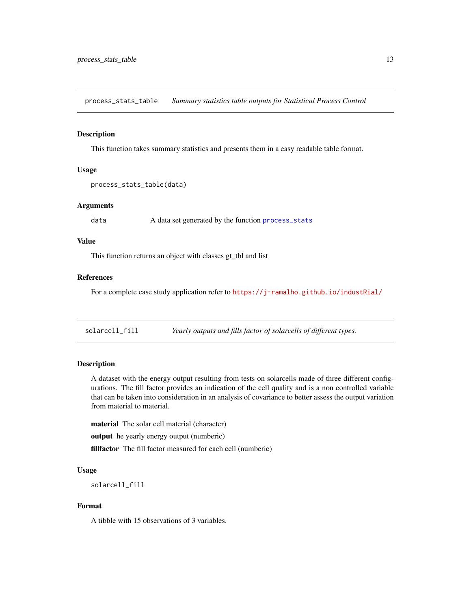<span id="page-12-0"></span>process\_stats\_table *Summary statistics table outputs for Statistical Process Control*

#### Description

This function takes summary statistics and presents them in a easy readable table format.

#### Usage

```
process_stats_table(data)
```
#### Arguments

data A data set generated by the function [process\\_stats](#page-11-1)

# Value

This function returns an object with classes gt\_tbl and list

#### References

For a complete case study application refer to <https://j-ramalho.github.io/industRial/>

solarcell\_fill *Yearly outputs and fills factor of solarcells of different types.*

# Description

A dataset with the energy output resulting from tests on solarcells made of three different configurations. The fill factor provides an indication of the cell quality and is a non controlled variable that can be taken into consideration in an analysis of covariance to better assess the output variation from material to material.

material The solar cell material (character)

output he yearly energy output (numberic)

fillfactor The fill factor measured for each cell (numberic)

#### Usage

solarcell\_fill

# Format

A tibble with 15 observations of 3 variables.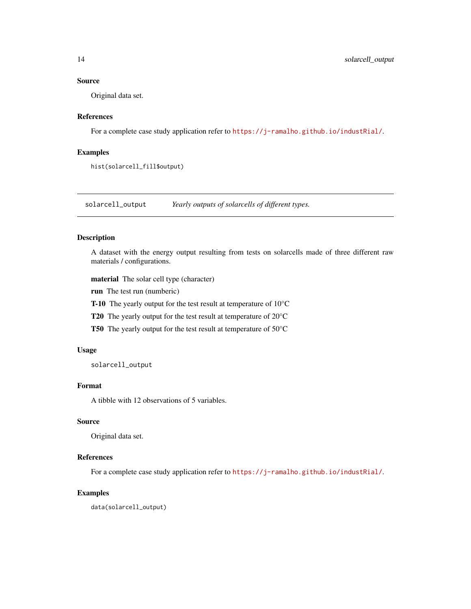# <span id="page-13-0"></span>Source

Original data set.

# References

For a complete case study application refer to <https://j-ramalho.github.io/industRial/>.

# Examples

hist(solarcell\_fill\$output)

solarcell\_output *Yearly outputs of solarcells of different types.*

# Description

A dataset with the energy output resulting from tests on solarcells made of three different raw materials / configurations.

material The solar cell type (character)

run The test run (numberic)

T-10 The yearly output for the test result at temperature of 10°C

T20 The yearly output for the test result at temperature of 20°C

T50 The yearly output for the test result at temperature of 50°C

#### Usage

solarcell\_output

# Format

A tibble with 12 observations of 5 variables.

#### Source

Original data set.

# References

For a complete case study application refer to <https://j-ramalho.github.io/industRial/>.

#### Examples

data(solarcell\_output)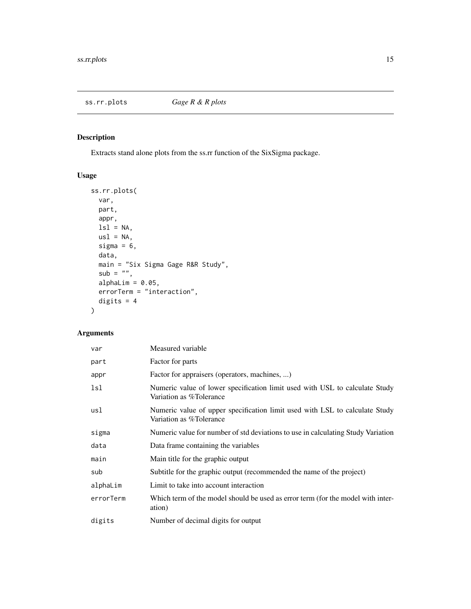<span id="page-14-0"></span>

Extracts stand alone plots from the ss.rr function of the SixSigma package.

# Usage

```
ss.rr.plots(
 var,
 part,
 appr,
 lsl = NA,us1 = NA,sigma = 6,
 data,
 main = "Six Sigma Gage R&R Study",
 sub = "",alphaLim = 0.05,
 errorTerm = "interaction",
 digits = 4\mathcal{L}
```
# Arguments

| var       | Measured variable                                                                                      |
|-----------|--------------------------------------------------------------------------------------------------------|
| part      | Factor for parts                                                                                       |
| appr      | Factor for appraisers (operators, machines, )                                                          |
| lsl       | Numeric value of lower specification limit used with USL to calculate Study<br>Variation as %Tolerance |
| usl       | Numeric value of upper specification limit used with LSL to calculate Study<br>Variation as %Tolerance |
| sigma     | Numeric value for number of std deviations to use in calculating Study Variation                       |
| data      | Data frame containing the variables                                                                    |
| main      | Main title for the graphic output                                                                      |
| sub       | Subtitle for the graphic output (recommended the name of the project)                                  |
| alphaLim  | Limit to take into account interaction                                                                 |
| errorTerm | Which term of the model should be used as error term (for the model with inter-<br>ation)              |
| digits    | Number of decimal digits for output                                                                    |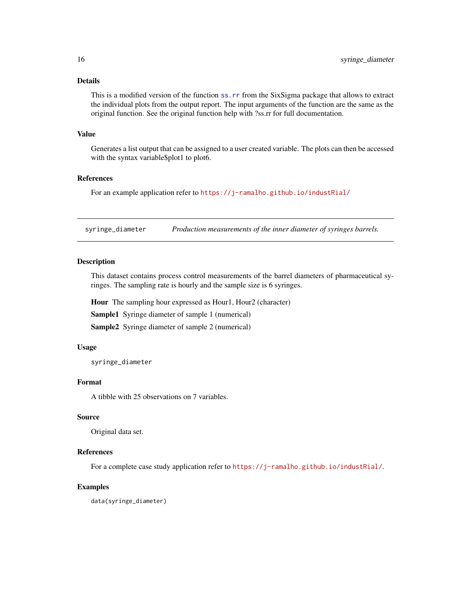# <span id="page-15-0"></span>Details

This is a modified version of the function [ss.rr](#page-0-0) from the SixSigma package that allows to extract the individual plots from the output report. The input arguments of the function are the same as the original function. See the original function help with ?ss.rr for full documentation.

#### Value

Generates a list output that can be assigned to a user created variable. The plots can then be accessed with the syntax variable\$plot1 to plot6.

#### References

For an example application refer to <https://j-ramalho.github.io/industRial/>

syringe\_diameter *Production measurements of the inner diameter of syringes barrels.*

#### Description

This dataset contains process control measurements of the barrel diameters of pharmaceutical syringes. The sampling rate is hourly and the sample size is 6 syringes.

Hour The sampling hour expressed as Hour1, Hour2 (character)

Sample1 Syringe diameter of sample 1 (numerical)

Sample2 Syringe diameter of sample 2 (numerical)

# Usage

syringe\_diameter

# Format

A tibble with 25 observations on 7 variables.

#### Source

Original data set.

# References

For a complete case study application refer to <https://j-ramalho.github.io/industRial/>.

#### Examples

data(syringe\_diameter)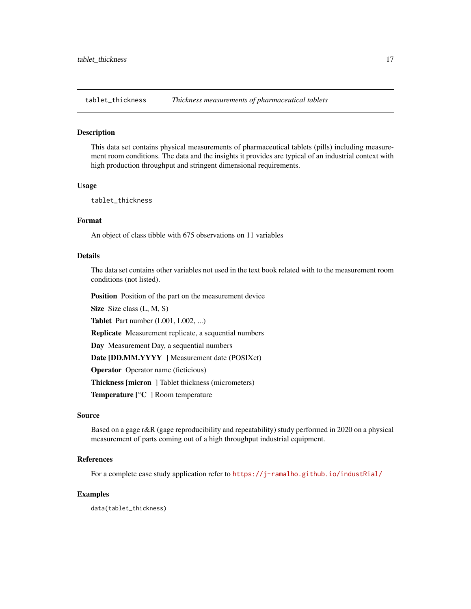<span id="page-16-0"></span>

This data set contains physical measurements of pharmaceutical tablets (pills) including measurement room conditions. The data and the insights it provides are typical of an industrial context with high production throughput and stringent dimensional requirements.

#### Usage

tablet\_thickness

#### Format

An object of class tibble with 675 observations on 11 variables

#### Details

The data set contains other variables not used in the text book related with to the measurement room conditions (not listed).

Position Position of the part on the measurement device

Size Size class (L, M, S)

Tablet Part number (L001, L002, ...)

Replicate Measurement replicate, a sequential numbers

Day Measurement Day, a sequential numbers

Date [DD.MM.YYYY] Measurement date (POSIXct)

Operator Operator name (ficticious)

Thickness [micron ] Tablet thickness (micrometers)

Temperature [°C ] Room temperature

#### Source

Based on a gage r&R (gage reproducibility and repeatability) study performed in 2020 on a physical measurement of parts coming out of a high throughput industrial equipment.

# References

For a complete case study application refer to <https://j-ramalho.github.io/industRial/>

#### Examples

data(tablet\_thickness)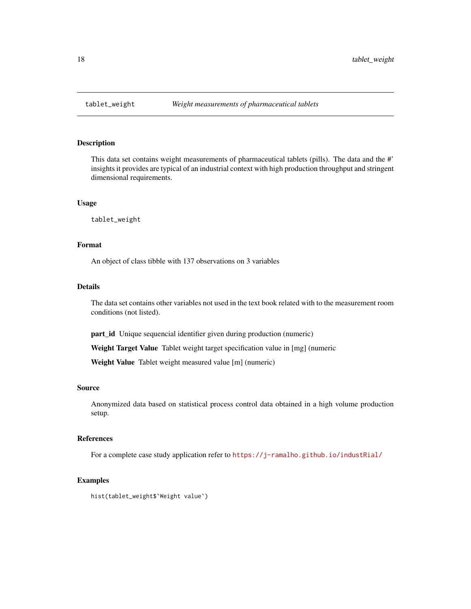<span id="page-17-0"></span>

This data set contains weight measurements of pharmaceutical tablets (pills). The data and the #' insights it provides are typical of an industrial context with high production throughput and stringent dimensional requirements.

# Usage

tablet\_weight

# Format

An object of class tibble with 137 observations on 3 variables

#### Details

The data set contains other variables not used in the text book related with to the measurement room conditions (not listed).

part\_id Unique sequencial identifier given during production (numeric)

Weight Target Value Tablet weight target specification value in [mg] (numeric

Weight Value Tablet weight measured value [m] (numeric)

#### Source

Anonymized data based on statistical process control data obtained in a high volume production setup.

#### References

For a complete case study application refer to <https://j-ramalho.github.io/industRial/>

#### Examples

hist(tablet\_weight\$`Weight value`)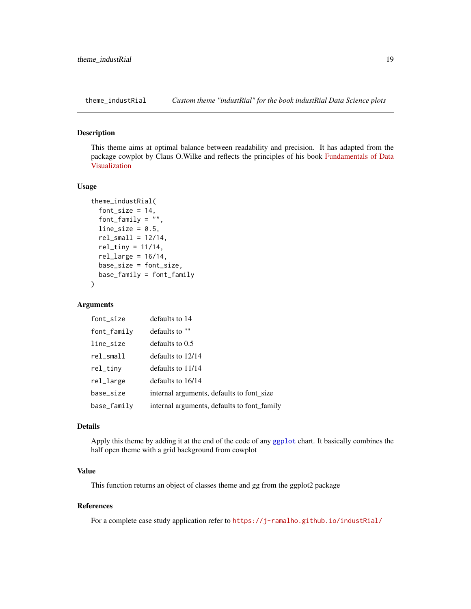<span id="page-18-0"></span>

This theme aims at optimal balance between readability and precision. It has adapted from the package cowplot by Claus O.Wilke and reflects the principles of his book [Fundamentals of Data](https://clauswilke.com/dataviz/) [Visualization](https://clauswilke.com/dataviz/)

#### Usage

```
theme_industRial(
  font\_size = 14,font_family = \overline{''''},
  line\_size = 0.5,
  rel\_small = 12/14,
  rel\_tiny = 11/14,
  rel_large = 16/14,
  base_size = font_size,
  base_family = font_family
)
```
#### Arguments

| font_size    | defaults to 14                              |
|--------------|---------------------------------------------|
| font_family  | defaults to ""                              |
| line_size    | defaults to 0.5                             |
| $rel\_small$ | defaults to 12/14                           |
| rel_tiny     | defaults to 11/14                           |
| rel_large    | defaults to 16/14                           |
| base_size    | internal arguments, defaults to font_size   |
| base_family  | internal arguments, defaults to font_family |

#### Details

Apply this theme by adding it at the end of the code of any [ggplot](#page-0-0) chart. It basically combines the half open theme with a grid background from cowplot

#### Value

This function returns an object of classes theme and gg from the ggplot2 package

# References

For a complete case study application refer to <https://j-ramalho.github.io/industRial/>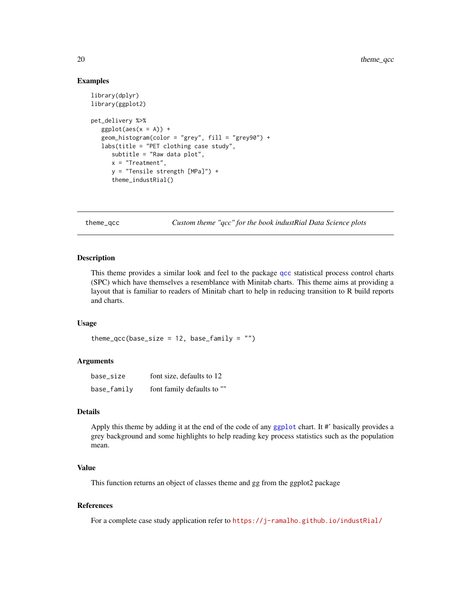### Examples

```
library(dplyr)
library(ggplot2)
pet_delivery %>%
   ggplot(aes(x = A)) +geom_histogram(color = "grey", fill = "grey90") +
   labs(title = "PET clothing case study",
      subtitle = "Raw data plot",
      x = "Treatment",
      y = "Tensile strength [MPa]") +
      theme_industRial()
```
theme\_qcc *Custom theme "qcc" for the book industRial Data Science plots*

# Description

This theme provides a similar look and feel to the package [qcc](#page-0-0) statistical process control charts (SPC) which have themselves a resemblance with Minitab charts. This theme aims at providing a layout that is familiar to readers of Minitab chart to help in reducing transition to R build reports and charts.

#### Usage

```
theme_qcc(base_size = 12, base_family = "")
```
#### Arguments

| base_size   | font size, defaults to 12  |
|-------------|----------------------------|
| base_family | font family defaults to "" |

#### Details

Apply this theme by adding it at the end of the code of any [ggplot](#page-0-0) chart. It #' basically provides a grey background and some highlights to help reading key process statistics such as the population mean.

# Value

This function returns an object of classes theme and gg from the ggplot2 package

#### References

For a complete case study application refer to <https://j-ramalho.github.io/industRial/>

<span id="page-19-0"></span>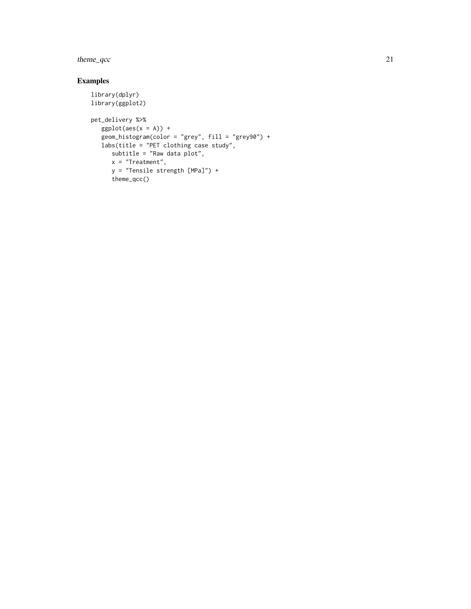theme\_qcc 21

# Examples

```
library(dplyr)
library(ggplot2)
pet_delivery %>%
   ggplot(aes(x = A)) +geom_histogram(color = "grey", fill = "grey90") +
   labs(title = "PET clothing case study",
    subtitle = "Raw data plot",
     x = "Treatment",
     y = "Tensile strength [MPa]") +
     theme_qcc()
```